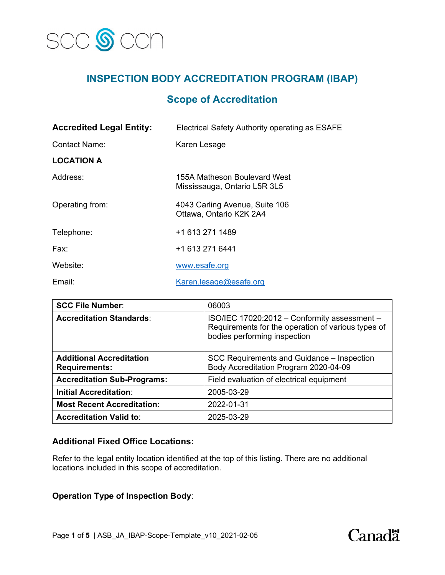

# **INSPECTION BODY ACCREDITATION PROGRAM (IBAP)**

## **Scope of Accreditation**

| <b>Accredited Legal Entity:</b> | Electrical Safety Authority operating as ESAFE               |
|---------------------------------|--------------------------------------------------------------|
| Contact Name:                   | Karen Lesage                                                 |
| <b>LOCATION A</b>               |                                                              |
| Address:                        | 155A Matheson Boulevard West<br>Mississauga, Ontario L5R 3L5 |
| Operating from:                 | 4043 Carling Avenue, Suite 106<br>Ottawa, Ontario K2K 2A4    |
| Telephone:                      | +1 613 271 1489                                              |
| Fax:                            | +1 613 271 6441                                              |
| Website:                        | www.esafe.org                                                |
| Email:                          | Karen.lesage@esafe.org                                       |

| <b>SCC File Number:</b>                                 | 06003                                                                                                                               |
|---------------------------------------------------------|-------------------------------------------------------------------------------------------------------------------------------------|
| <b>Accreditation Standards:</b>                         | ISO/IEC 17020:2012 - Conformity assessment --<br>Requirements for the operation of various types of<br>bodies performing inspection |
| <b>Additional Accreditation</b><br><b>Requirements:</b> | SCC Requirements and Guidance – Inspection<br>Body Accreditation Program 2020-04-09                                                 |
| <b>Accreditation Sub-Programs:</b>                      | Field evaluation of electrical equipment                                                                                            |
| <b>Initial Accreditation:</b>                           | 2005-03-29                                                                                                                          |
| <b>Most Recent Accreditation:</b>                       | 2022-01-31                                                                                                                          |
| <b>Accreditation Valid to:</b>                          | 2025-03-29                                                                                                                          |

### **Additional Fixed Office Locations:**

Refer to the legal entity location identified at the top of this listing. There are no additional locations included in this scope of accreditation.

### **Operation Type of Inspection Body**:

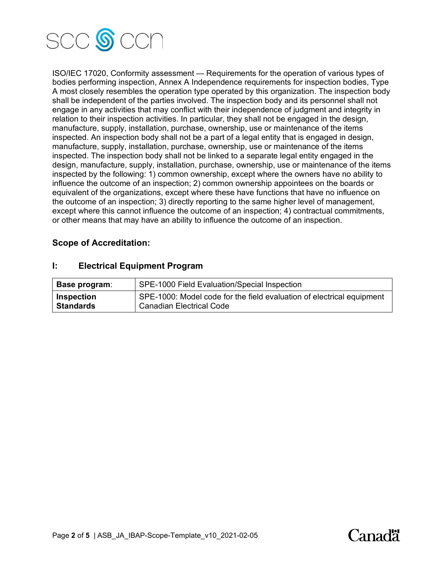

ISO/IEC 17020, Conformity assessment — Requirements for the operation of various types of bodies performing inspection, Annex A Independence requirements for inspection bodies, Type A most closely resembles the operation type operated by this organization. The inspection body shall be independent of the parties involved. The inspection body and its personnel shall not engage in any activities that may conflict with their independence of judgment and integrity in relation to their inspection activities. In particular, they shall not be engaged in the design, manufacture, supply, installation, purchase, ownership, use or maintenance of the items inspected. An inspection body shall not be a part of a legal entity that is engaged in design, manufacture, supply, installation, purchase, ownership, use or maintenance of the items inspected. The inspection body shall not be linked to a separate legal entity engaged in the design, manufacture, supply, installation, purchase, ownership, use or maintenance of the items inspected by the following: 1) common ownership, except where the owners have no ability to influence the outcome of an inspection; 2) common ownership appointees on the boards or equivalent of the organizations, except where these have functions that have no influence on the outcome of an inspection; 3) directly reporting to the same higher level of management, except where this cannot influence the outcome of an inspection; 4) contractual commitments, or other means that may have an ability to influence the outcome of an inspection.

#### **Scope of Accreditation:**

| Base program:     | SPE-1000 Field Evaluation/Special Inspection                          |
|-------------------|-----------------------------------------------------------------------|
| <b>Inspection</b> | SPE-1000: Model code for the field evaluation of electrical equipment |
| <b>Standards</b>  | <b>Canadian Electrical Code</b>                                       |

#### **I: Electrical Equipment Program**

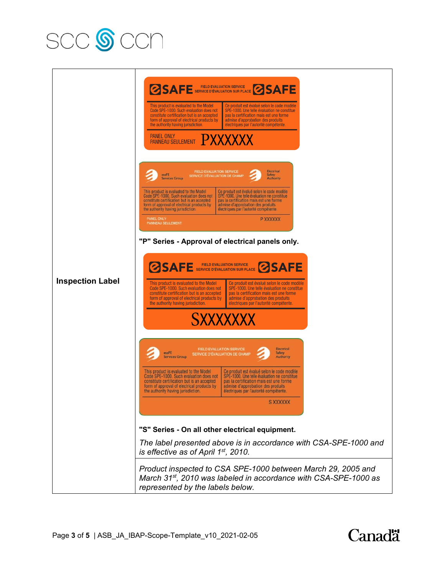



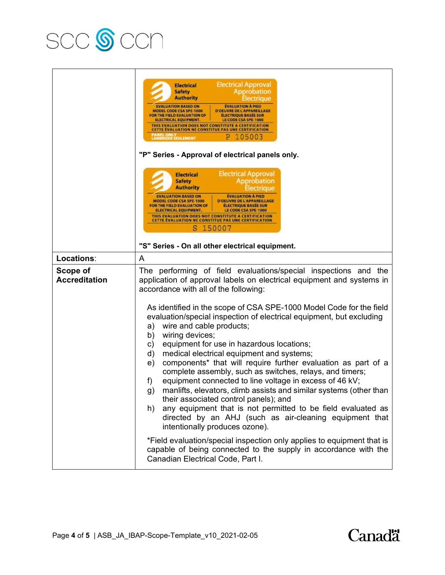

|                                  | <b>Electrical Approval</b><br><b>Electrical</b><br>Approbation<br><b>Safety</b><br><b>Authority</b><br><b>EVALUATION BASED ON</b><br><b>EVALUATION A PIED</b><br>MODEL CODE CSA SPE-1000<br>D'OEUVRE DE L'APPAREILLAGE<br>FOR THE FIELD EVALUATION OF<br><b>ÉLECTRIQUE BASÉE SUR</b><br><b>ELECTRICAL EQUIPMENT.</b><br>LE CODE CSA SPE-1000<br>THIS EVALUATION DOES NOT CONSTITUTE A CERTIFICATION<br><b>CETTE EVALUATION NE CONSTITUE PAS UNE CERTIFICATION</b><br>PANEL ONLY<br>LAMBRISER SEULEMENT<br>105003<br>"P" Series - Approval of electrical panels only.<br><b>Electrical Approval</b>                                                                                                                                                                                                                                                                                                                                                                                                                                                                      |  |
|----------------------------------|-------------------------------------------------------------------------------------------------------------------------------------------------------------------------------------------------------------------------------------------------------------------------------------------------------------------------------------------------------------------------------------------------------------------------------------------------------------------------------------------------------------------------------------------------------------------------------------------------------------------------------------------------------------------------------------------------------------------------------------------------------------------------------------------------------------------------------------------------------------------------------------------------------------------------------------------------------------------------------------------------------------------------------------------------------------------------|--|
|                                  | <b>Electrical</b><br><b>Safety</b><br>Approbation<br><b>Authority</b><br>lectrique<br><b>EVALUATION BASED ON</b><br><b>EVALUATION À PIED</b><br>D'OEUVRE DE L'APPAREILLAGE<br>MODEL CODE CSA SPE-1000<br>FOR THE FIELD EVALUATION OF<br><b>ÉLECTRIQUE BASÉE SUR</b><br>ELECTRICAL EQUIPMENT.<br>LE CODE CSA SPE-1000<br>THIS EVALUATION DOES NOT CONSTITUTE A CERTIFICATION<br>CETTE ÉVALUATION NE CONSTITUE PAS UNE CERTIFICATION<br>s<br>150007<br>"S" Series - On all other electrical equipment.                                                                                                                                                                                                                                                                                                                                                                                                                                                                                                                                                                    |  |
| Locations:                       | A                                                                                                                                                                                                                                                                                                                                                                                                                                                                                                                                                                                                                                                                                                                                                                                                                                                                                                                                                                                                                                                                       |  |
| Scope of<br><b>Accreditation</b> | The performing of field evaluations/special inspections and the<br>application of approval labels on electrical equipment and systems in<br>accordance with all of the following:<br>As identified in the scope of CSA SPE-1000 Model Code for the field<br>evaluation/special inspection of electrical equipment, but excluding<br>wire and cable products;<br>a)<br>wiring devices;<br>b)<br>equipment for use in hazardous locations;<br>c)<br>medical electrical equipment and systems;<br>d)<br>components* that will require further evaluation as part of a<br>e)<br>complete assembly, such as switches, relays, and timers;<br>equipment connected to line voltage in excess of 46 kV;<br>f)<br>manlifts, elevators, climb assists and similar systems (other than<br>g)<br>their associated control panels); and<br>any equipment that is not permitted to be field evaluated as<br>h)<br>directed by an AHJ (such as air-cleaning equipment that<br>intentionally produces ozone).<br>*Field evaluation/special inspection only applies to equipment that is |  |
|                                  | capable of being connected to the supply in accordance with the<br>Canadian Electrical Code, Part I.                                                                                                                                                                                                                                                                                                                                                                                                                                                                                                                                                                                                                                                                                                                                                                                                                                                                                                                                                                    |  |